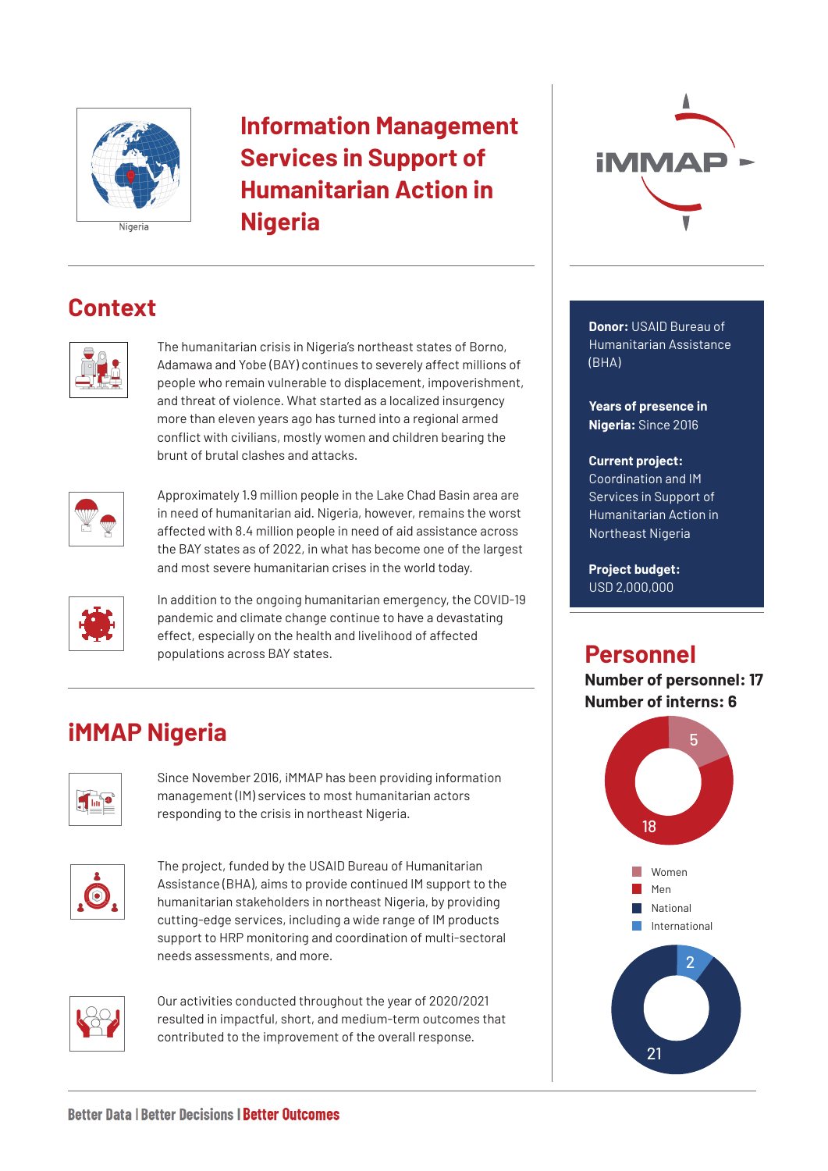

## **Information Management Services in Support of Humanitarian Action in Nigeria**

## **Context**



The humanitarian crisis in Nigeria's northeast states of Borno, Adamawa and Yobe (BAY) continues to severely affect millions of people who remain vulnerable to displacement, impoverishment, and threat of violence. What started as a localized insurgency more than eleven years ago has turned into a regional armed conflict with civilians, mostly women and children bearing the brunt of brutal clashes and attacks.



Approximately 1.9 million people in the Lake Chad Basin area are in need of humanitarian aid. Nigeria, however, remains the worst affected with 8.4 million people in need of aid assistance across the BAY states as of 2022, in what has become one of the largest and most severe humanitarian crises in the world today.



In addition to the ongoing humanitarian emergency, the COVID-19 pandemic and climate change continue to have a devastating effect, especially on the health and livelihood of affected populations across BAY states.

# **iMMAP Nigeria**



Since November 2016, iMMAP has been providing information management (IM) services to most humanitarian actors responding to the crisis in northeast Nigeria.



The project, funded by the USAID Bureau of Humanitarian Assistance (BHA), aims to provide continued IM support to the humanitarian stakeholders in northeast Nigeria, by providing cutting-edge services, including a wide range of IM products support to HRP monitoring and coordination of multi-sectoral needs assessments, and more.



Our activities conducted throughout the year of 2020/2021 resulted in impactful, short, and medium-term outcomes that contributed to the improvement of the overall response.



**Donor:** USAID Bureau of Humanitarian Assistance (BHA)

**Years of presence in Nigeria:** Since 2016

#### **Current project:**

Coordination and IM Services in Support of Humanitarian Action in Northeast Nigeria

**Project budget:** USD 2,000,000

## **Personnel**

**Number of personnel: 17 Number of interns: 6**

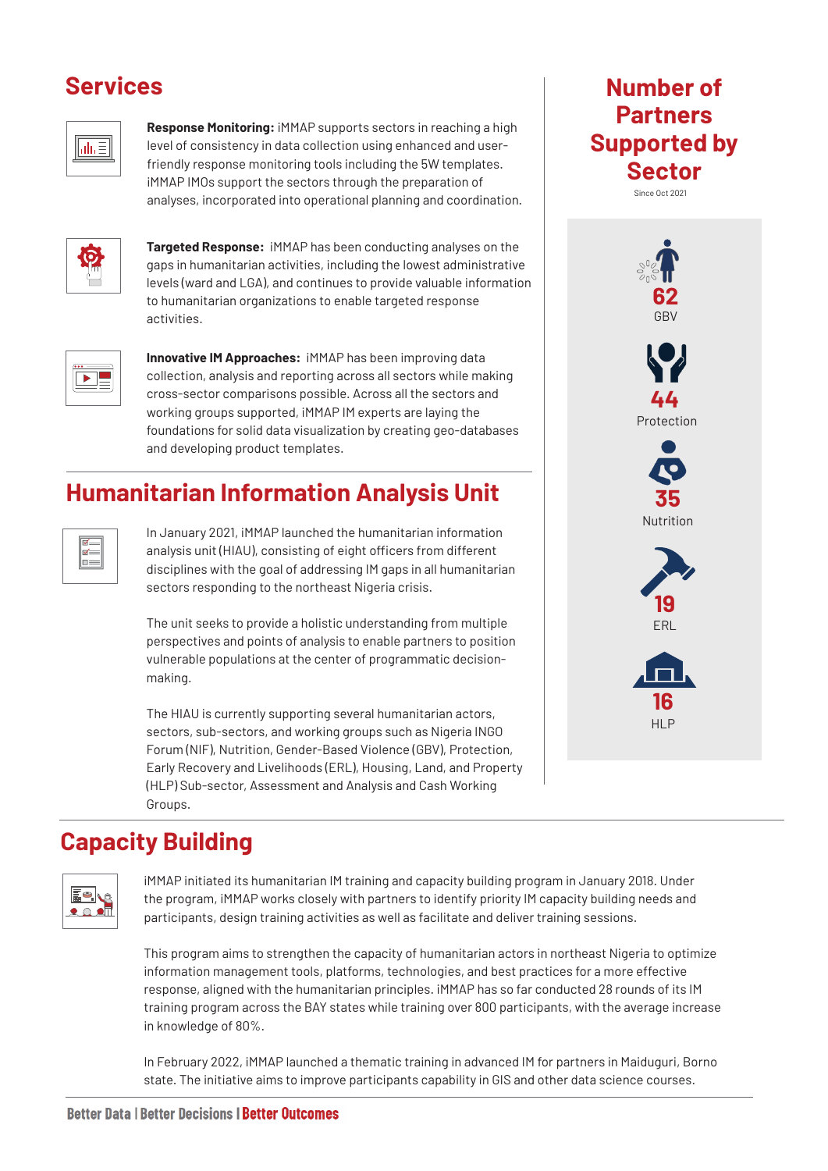#### **Services**



**Response Monitoring:** iMMAP supports sectors in reaching a high level of consistency in data collection using enhanced and userfriendly response monitoring tools including the 5W templates. iMMAP IMOs support the sectors through the preparation of analyses, incorporated into operational planning and coordination.



**Targeted Response:** iMMAP has been conducting analyses on the gaps in humanitarian activities, including the lowest administrative levels (ward and LGA), and continues to provide valuable information to humanitarian organizations to enable targeted response activities.

| a a |
|-----|
|-----|

**Innovative IM Approaches:** iMMAP has been improving data collection, analysis and reporting across all sectors while making cross-sector comparisons possible. Across all the sectors and working groups supported, iMMAP IM experts are laying the foundations for solid data visualization by creating geo-databases and developing product templates.

## **Humanitarian Information Analysis Unit**



In January 2021, iMMAP launched the humanitarian information analysis unit (HIAU), consisting of eight officers from different disciplines with the goal of addressing IM gaps in all humanitarian sectors responding to the northeast Nigeria crisis.

The unit seeks to provide a holistic understanding from multiple perspectives and points of analysis to enable partners to position vulnerable populations at the center of programmatic decisionmaking.

The HIAU is currently supporting several humanitarian actors, sectors, sub-sectors, and working groups such as Nigeria INGO Forum (NIF), Nutrition, Gender-Based Violence (GBV), Protection, Early Recovery and Livelihoods (ERL), Housing, Land, and Property (HLP) Sub-sector, Assessment and Analysis and Cash Working Groups.





## **Capacity Building**



iMMAP initiated its humanitarian IM training and capacity building program in January 2018. Under the program, iMMAP works closely with partners to identify priority IM capacity building needs and participants, design training activities as well as facilitate and deliver training sessions.

This program aims to strengthen the capacity of humanitarian actors in northeast Nigeria to optimize information management tools, platforms, technologies, and best practices for a more effective response, aligned with the humanitarian principles. iMMAP has so far conducted 28 rounds of its IM training program across the BAY states while training over 800 participants, with the average increase in knowledge of 80%.

In February 2022, iMMAP launched a thematic training in advanced IM for partners in Maiduguri, Borno state. The initiative aims to improve participants capability in GIS and other data science courses.